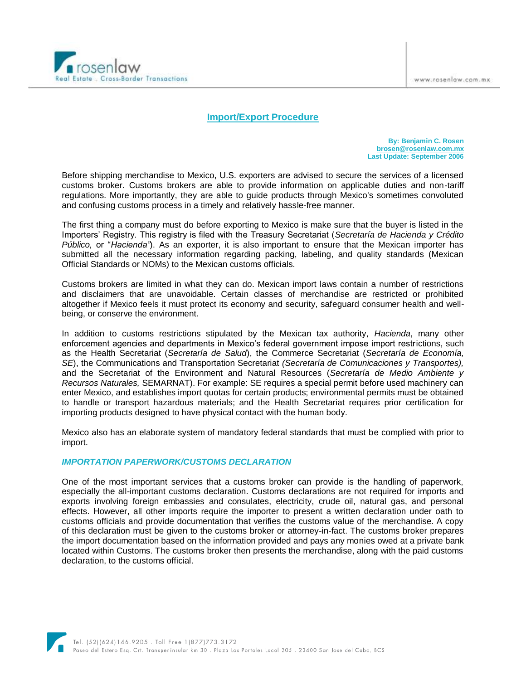

# **Import/Export Procedure**

**By: Benjamin C. Rosen [brosen@rosenlaw.com.mx](mailto:brosen@rosenlaw.com.mx) Last Update: September 2006**

Before shipping merchandise to Mexico, U.S. exporters are advised to secure the services of a licensed customs broker. Customs brokers are able to provide information on applicable duties and non-tariff regulations. More importantly, they are able to guide products through Mexico's sometimes convoluted and confusing customs process in a timely and relatively hassle-free manner.

The first thing a company must do before exporting to Mexico is make sure that the buyer is listed in the Importers' Registry. This registry is filed with the Treasury Secretariat (*Secretaría de Hacienda y Crédito Público,* or "*Hacienda"*). As an exporter, it is also important to ensure that the Mexican importer has submitted all the necessary information regarding packing, labeling, and quality standards (Mexican Official Standards or NOMs) to the Mexican customs officials.

Customs brokers are limited in what they can do. Mexican import laws contain a number of restrictions and disclaimers that are unavoidable. Certain classes of merchandise are restricted or prohibited altogether if Mexico feels it must protect its economy and security, safeguard consumer health and wellbeing, or conserve the environment.

In addition to customs restrictions stipulated by the Mexican tax authority, *Hacienda*, many other enforcement agencies and departments in Mexico's federal government impose import restrictions, such as the Health Secretariat (*Secretaría de Salud*), the Commerce Secretariat (*Secretaría de Economía, SE*), the Communications and Transportation Secretariat *(Secretaría de Comunicaciones y Transportes),*  and the Secretariat of the Environment and Natural Resources (*Secretaría de Medio Ambiente y Recursos Naturales,* SEMARNAT). For example: SE requires a special permit before used machinery can enter Mexico, and establishes import quotas for certain products; environmental permits must be obtained to handle or transport hazardous materials; and the Health Secretariat requires prior certification for importing products designed to have physical contact with the human body.

Mexico also has an elaborate system of mandatory federal standards that must be complied with prior to import.

## *IMPORTATION PAPERWORK/CUSTOMS DECLARATION*

One of the most important services that a customs broker can provide is the handling of paperwork, especially the all-important customs declaration. Customs declarations are not required for imports and exports involving foreign embassies and consulates, electricity, crude oil, natural gas, and personal effects. However, all other imports require the importer to present a written declaration under oath to customs officials and provide documentation that verifies the customs value of the merchandise. A copy of this declaration must be given to the customs broker or attorney-in-fact. The customs broker prepares the import documentation based on the information provided and pays any monies owed at a private bank located within Customs. The customs broker then presents the merchandise, along with the paid customs declaration, to the customs official.

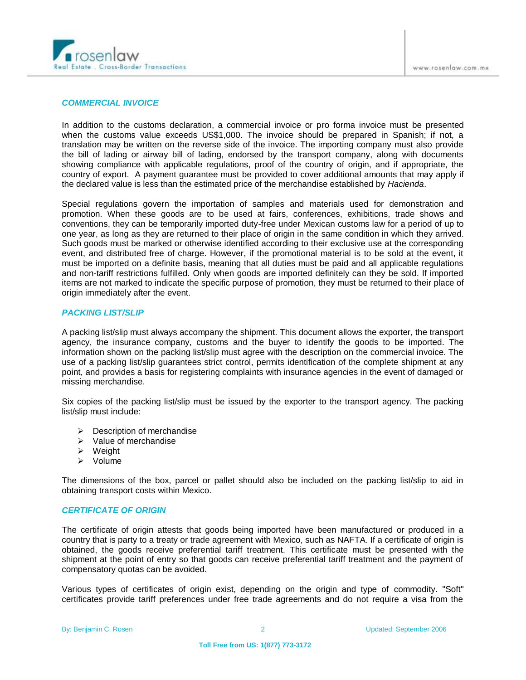

#### *COMMERCIAL INVOICE*

In addition to the customs declaration, a commercial invoice or pro forma invoice must be presented when the customs value exceeds US\$1,000. The invoice should be prepared in Spanish; if not, a translation may be written on the reverse side of the invoice. The importing company must also provide the bill of lading or airway bill of lading, endorsed by the transport company, along with documents showing compliance with applicable regulations, proof of the country of origin, and if appropriate, the country of export. A payment guarantee must be provided to cover additional amounts that may apply if the declared value is less than the estimated price of the merchandise established by *Hacienda*.

Special regulations govern the importation of samples and materials used for demonstration and promotion. When these goods are to be used at fairs, conferences, exhibitions, trade shows and conventions, they can be temporarily imported duty-free under Mexican customs law for a period of up to one year, as long as they are returned to their place of origin in the same condition in which they arrived. Such goods must be marked or otherwise identified according to their exclusive use at the corresponding event, and distributed free of charge. However, if the promotional material is to be sold at the event, it must be imported on a definite basis, meaning that all duties must be paid and all applicable regulations and non-tariff restrictions fulfilled. Only when goods are imported definitely can they be sold. If imported items are not marked to indicate the specific purpose of promotion, they must be returned to their place of origin immediately after the event.

## *PACKING LIST/SLIP*

A packing list/slip must always accompany the shipment. This document allows the exporter, the transport agency, the insurance company, customs and the buyer to identify the goods to be imported. The information shown on the packing list/slip must agree with the description on the commercial invoice. The use of a packing list/slip guarantees strict control, permits identification of the complete shipment at any point, and provides a basis for registering complaints with insurance agencies in the event of damaged or missing merchandise.

Six copies of the packing list/slip must be issued by the exporter to the transport agency. The packing list/slip must include:

- $\triangleright$  Description of merchandise
- $\triangleright$  Value of merchandise
- $\triangleright$  Weight
- $\triangleright$  Volume

The dimensions of the box, parcel or pallet should also be included on the packing list/slip to aid in obtaining transport costs within Mexico.

#### *CERTIFICATE OF ORIGIN*

The certificate of origin attests that goods being imported have been manufactured or produced in a country that is party to a treaty or trade agreement with Mexico, such as NAFTA. If a certificate of origin is obtained, the goods receive preferential tariff treatment. This certificate must be presented with the shipment at the point of entry so that goods can receive preferential tariff treatment and the payment of compensatory quotas can be avoided.

Various types of certificates of origin exist, depending on the origin and type of commodity. "Soft" certificates provide tariff preferences under free trade agreements and do not require a visa from the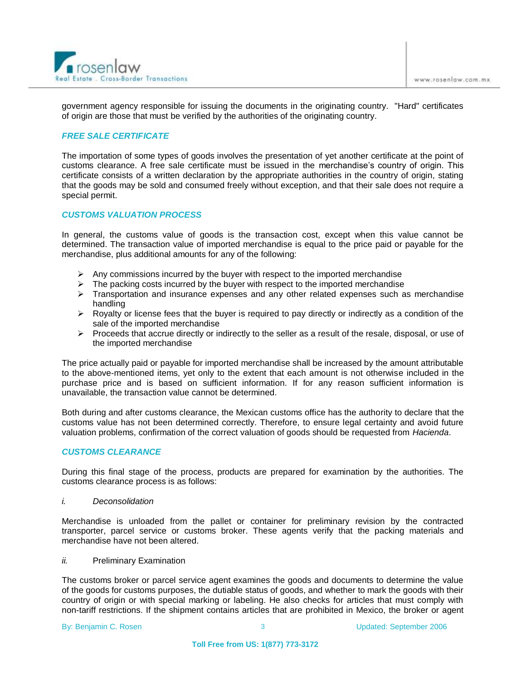

government agency responsible for issuing the documents in the originating country. "Hard" certificates of origin are those that must be verified by the authorities of the originating country.

# *FREE SALE CERTIFICATE*

The importation of some types of goods involves the presentation of yet another certificate at the point of customs clearance. A free sale certificate must be issued in the merchandise's country of origin. This certificate consists of a written declaration by the appropriate authorities in the country of origin, stating that the goods may be sold and consumed freely without exception, and that their sale does not require a special permit.

# *CUSTOMS VALUATION PROCESS*

In general, the customs value of goods is the transaction cost, except when this value cannot be determined. The transaction value of imported merchandise is equal to the price paid or payable for the merchandise, plus additional amounts for any of the following:

- $\triangleright$  Any commissions incurred by the buyer with respect to the imported merchandise
- $\triangleright$  The packing costs incurred by the buyer with respect to the imported merchandise
- > Transportation and insurance expenses and any other related expenses such as merchandise handling
- $\triangleright$  Royalty or license fees that the buyer is required to pay directly or indirectly as a condition of the sale of the imported merchandise
- $\triangleright$  Proceeds that accrue directly or indirectly to the seller as a result of the resale, disposal, or use of the imported merchandise

The price actually paid or payable for imported merchandise shall be increased by the amount attributable to the above-mentioned items, yet only to the extent that each amount is not otherwise included in the purchase price and is based on sufficient information. If for any reason sufficient information is unavailable, the transaction value cannot be determined.

Both during and after customs clearance, the Mexican customs office has the authority to declare that the customs value has not been determined correctly. Therefore, to ensure legal certainty and avoid future valuation problems, confirmation of the correct valuation of goods should be requested from *Hacienda*.

## *CUSTOMS CLEARANCE*

During this final stage of the process, products are prepared for examination by the authorities. The customs clearance process is as follows:

*i. Deconsolidation*

Merchandise is unloaded from the pallet or container for preliminary revision by the contracted transporter, parcel service or customs broker. These agents verify that the packing materials and merchandise have not been altered.

*ii.* Preliminary Examination

The customs broker or parcel service agent examines the goods and documents to determine the value of the goods for customs purposes, the dutiable status of goods, and whether to mark the goods with their country of origin or with special marking or labeling. He also checks for articles that must comply with non-tariff restrictions. If the shipment contains articles that are prohibited in Mexico, the broker or agent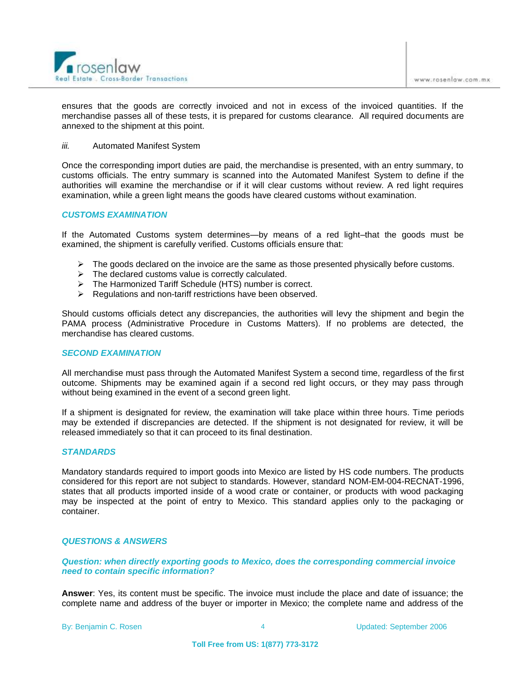

ensures that the goods are correctly invoiced and not in excess of the invoiced quantities. If the merchandise passes all of these tests, it is prepared for customs clearance. All required documents are annexed to the shipment at this point.

#### *iii.* Automated Manifest System

Once the corresponding import duties are paid, the merchandise is presented, with an entry summary, to customs officials. The entry summary is scanned into the Automated Manifest System to define if the authorities will examine the merchandise or if it will clear customs without review. A red light requires examination, while a green light means the goods have cleared customs without examination.

#### *CUSTOMS EXAMINATION*

If the Automated Customs system determines—by means of a red light–that the goods must be examined, the shipment is carefully verified. Customs officials ensure that:

- $\triangleright$  The goods declared on the invoice are the same as those presented physically before customs.
- $\triangleright$  The declared customs value is correctly calculated.
- > The Harmonized Tariff Schedule (HTS) number is correct.
- $\triangleright$  Regulations and non-tariff restrictions have been observed.

Should customs officials detect any discrepancies, the authorities will levy the shipment and begin the PAMA process (Administrative Procedure in Customs Matters). If no problems are detected, the merchandise has cleared customs.

#### *SECOND EXAMINATION*

All merchandise must pass through the Automated Manifest System a second time, regardless of the first outcome. Shipments may be examined again if a second red light occurs, or they may pass through without being examined in the event of a second green light.

If a shipment is designated for review, the examination will take place within three hours. Time periods may be extended if discrepancies are detected. If the shipment is not designated for review, it will be released immediately so that it can proceed to its final destination.

#### *STANDARDS*

Mandatory standards required to import goods into Mexico are listed by HS code numbers. The products considered for this report are not subject to standards. However, standard NOM-EM-004-RECNAT-1996, states that all products imported inside of a wood crate or container, or products with wood packaging may be inspected at the point of entry to Mexico. This standard applies only to the packaging or container.

## *QUESTIONS & ANSWERS*

*Question: when directly exporting goods to Mexico, does the corresponding commercial invoice need to contain specific information?*

**Answer**: Yes, its content must be specific. The invoice must include the place and date of issuance; the complete name and address of the buyer or importer in Mexico; the complete name and address of the